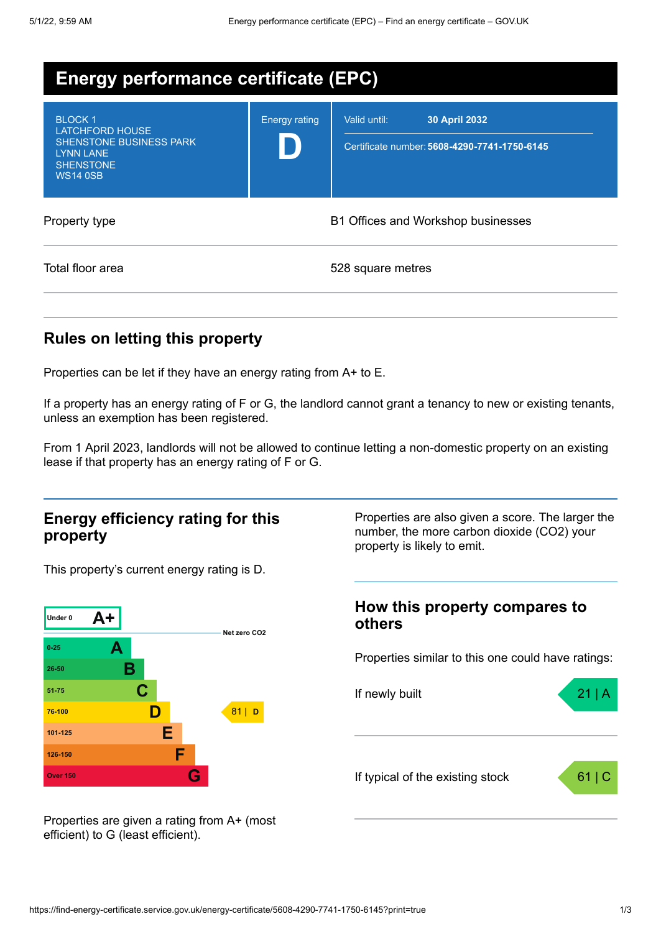| <b>Energy performance certificate (EPC)</b>                                                                                          |                                    |                                                                               |
|--------------------------------------------------------------------------------------------------------------------------------------|------------------------------------|-------------------------------------------------------------------------------|
| <b>BLOCK1</b><br><b>LATCHFORD HOUSE</b><br><b>SHENSTONE BUSINESS PARK</b><br><b>LYNN LANE</b><br><b>SHENSTONE</b><br><b>WS14 0SB</b> | <b>Energy rating</b>               | 30 April 2032<br>Valid until:<br>Certificate number: 5608-4290-7741-1750-6145 |
| Property type                                                                                                                        | B1 Offices and Workshop businesses |                                                                               |
| Total floor area                                                                                                                     |                                    | 528 square metres                                                             |

# **Rules on letting this property**

Properties can be let if they have an energy rating from A+ to E.

If a property has an energy rating of F or G, the landlord cannot grant a tenancy to new or existing tenants, unless an exemption has been registered.

From 1 April 2023, landlords will not be allowed to continue letting a non-domestic property on an existing lease if that property has an energy rating of F or G.

### **Energy efficiency rating for this property**

This property's current energy rating is D.



Properties are also given a score. The larger the number, the more carbon dioxide (CO2) your property is likely to emit.

### **How this property compares to others**

Properties similar to this one could have ratings:



Properties are given a rating from A+ (most efficient) to G (least efficient).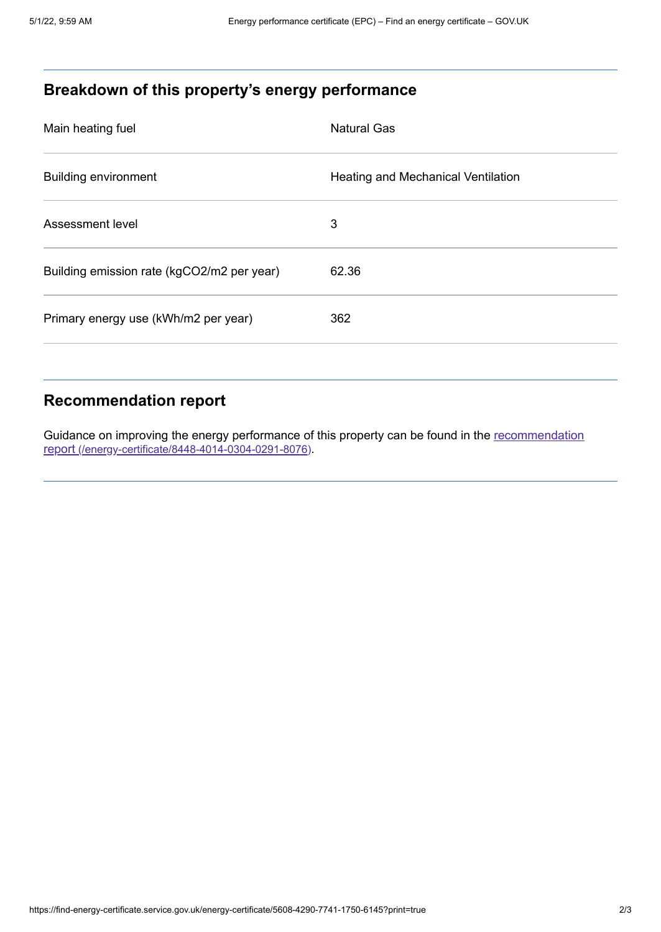# **Breakdown of this property's energy performance**

| Main heating fuel                          | <b>Natural Gas</b>                 |
|--------------------------------------------|------------------------------------|
| <b>Building environment</b>                | Heating and Mechanical Ventilation |
| Assessment level                           | 3                                  |
| Building emission rate (kgCO2/m2 per year) | 62.36                              |
| Primary energy use (kWh/m2 per year)       | 362                                |

# **Recommendation report**

Guidance on improving the energy performance of this property can be found in the recommendation report [\(/energy-certificate/8448-4014-0304-0291-8076\)](https://find-energy-certificate.service.gov.uk/energy-certificate/8448-4014-0304-0291-8076).